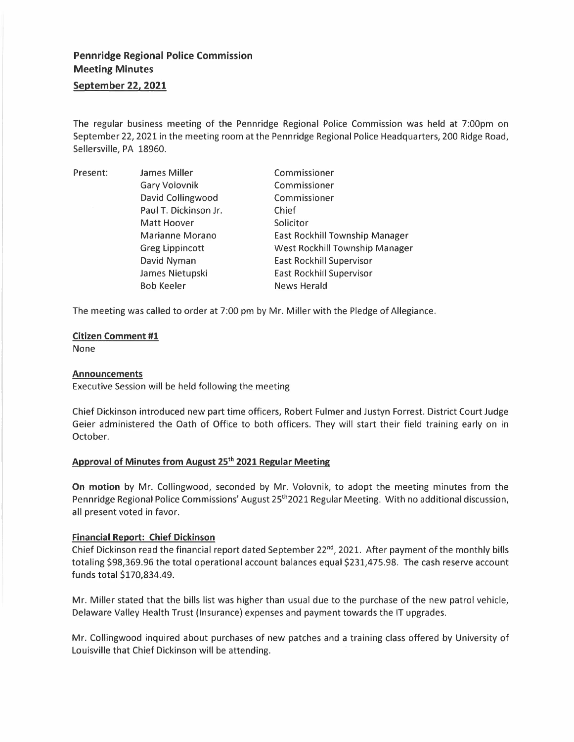# **Pennridge Regional Police Commission Meeting Minutes September 22, 2021**

The regular business meeting of the Pennridge Regional Police Commission was held at 7:00pm on September 22, 2021 in the meeting room at the Pennridge Regional Police Headquarters, 200 Ridge Road, Sellersville, PA 18960.

| Present: | <b>James Miller</b>    | Commissioner                    |
|----------|------------------------|---------------------------------|
|          |                        |                                 |
|          | <b>Gary Volovnik</b>   | Commissioner                    |
|          | David Collingwood      | Commissioner                    |
|          | Paul T. Dickinson Jr.  | Chief                           |
|          | Matt Hoover            | Solicitor                       |
|          | Marianne Morano        | East Rockhill Township Manager  |
|          | <b>Greg Lippincott</b> | West Rockhill Township Manager  |
|          | David Nyman            | <b>East Rockhill Supervisor</b> |
|          | James Nietupski        | East Rockhill Supervisor        |
|          | <b>Bob Keeler</b>      | <b>News Herald</b>              |

The meeting was called to order at 7:00 pm by Mr. Miller with the Pledge of Allegiance.

### **Citizen Comment #1**

None

#### **Announcements**

Executive Session will be held following the meeting

Chief Dickinson introduced new part time officers, Robert Fulmer and Justyn Forrest. District Court Judge Geier administered the Oath of Office to both officers. They will start their field training early on in October.

## **Approval of Minutes from August 25 th 2021 Regular Meeting**

**On motion** by Mr. Collingwood, seconded by Mr. Volovnik, to adopt the meeting minutes from the Pennridge Regional Police Commissions' August 25<sup>th</sup>2021 Regular Meeting. With no additional discussion, all present voted in favor.

## **Financial Report: Chief Dickinson**

Chief Dickinson read the financial report dated September 22<sup>nd</sup>, 2021. After payment of the monthly bills totaling \$98,369.96 the total operational account balances equal \$231,475.98. The cash reserve account funds total \$170,834.49.

Mr. Miller stated that the bills list was higher than usual due to the purchase of the new patrol vehicle, Delaware Valley Health Trust (Insurance) expenses and payment towards the IT upgrades.

Mr. Collingwood inquired about purchases of new patches and a training class offered by University of Louisville that Chief Dickinson will be attending.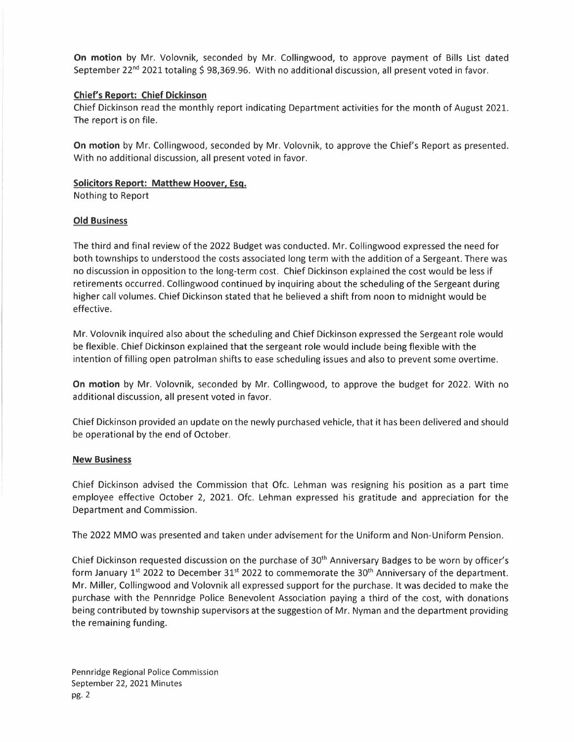**On motion** by Mr. Volovnik, seconded by Mr. Collingwood, to approve payment of Bills List dated September 22<sup>nd</sup> 2021 totaling \$ 98,369.96. With no additional discussion, all present voted in favor.

## **Chief's Report: Chief Dickinson**

Chief Dickinson read the monthly report indicating Department activities for the month of August 2021. The report is on file.

**On motion** by Mr. Collingwood, seconded by Mr. Volovnik, to approve the Chief's Report as presented. With no additional discussion, all present voted in favor.

### **Solicitors Report: Matthew Hoover, Esq.**

Nothing to Report

### **Old Business**

The third and final review of the 2022 Budget was conducted. Mr. Collingwood expressed the need for both townships to understood the costs associated long term with the addition of a Sergeant. There was no discussion in opposition to the long-term cost. Chief Dickinson explained the cost would be less if retirements occurred. Collingwood continued by inquiring about the scheduling of the Sergeant during higher call volumes. Chief Dickinson stated that he believed a shift from noon to midnight would be effective.

Mr. Volovnik inquired also about the scheduling and Chief Dickinson expressed the Sergeant role would be flexible. Chief Dickinson explained that the sergeant role would include being flexible with the intention of filling open patrolman shifts to ease scheduling issues and also to prevent some overtime.

**On motion** by Mr. Volovnik, seconded by Mr. Collingwood, to approve the budget for 2022. With no additional discussion, all present voted in favor.

Chief Dickinson provided an update on the newly purchased vehicle, that it has been delivered and should be operational by the end of October.

#### **New Business**

Chief Dickinson advised the Commission that Ofc. Lehman was resigning his position as a part time employee effective October 2, 2021. Ofc. Lehman expressed his gratitude and appreciation for the Department and Commission.

The 2022 MMO was presented and taken under advisement for the Uniform and Non-Uniform Pension.

Chief Dickinson requested discussion on the purchase of 30<sup>th</sup> Anniversary Badges to be worn by officer's form January 1<sup>st</sup> 2022 to December 31<sup>st</sup> 2022 to commemorate the 30<sup>th</sup> Anniversary of the department. Mr. Miller, Collingwood and Volovnik all expressed support for the purchase. It was decided to make the purchase with the Pennridge Police Benevolent Association paying a third of the cost, with donations being contributed by township supervisors at the suggestion of Mr. Nyman and the department providing the remaining funding.

Pennridge Regional Police Commission September 22, 2021 Minutes pg. 2